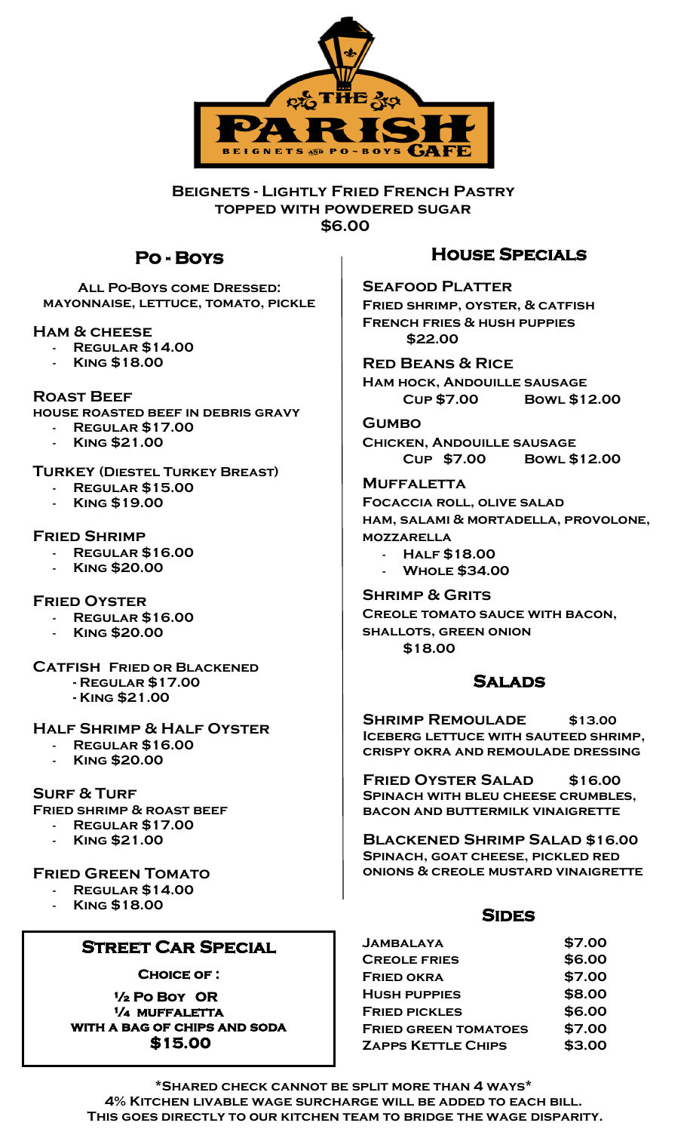

**Beignets - Lightly Fried French Pastry topped with powdered sugar \$6.00**

## **Po - Boys**

**All Po-Boys come Dressed: mayonnaise, lettuce, tomato, pickle**

**Ham & cheese**

- **- Regular \$14.00**
- **- King \$18.00**

**Roast Beef house roasted beef in debris gravy**

- **- Regular \$17.00**
	- **- King \$21.00**

**Turkey (Diestel Turkey Breast)**

- **- Regular \$15.00**
- **- King \$19.00**

**Fried Shrimp**

- **- Regular \$16.00**
- **- King \$20.00**

**Fried Oyster**

- **- Regular \$16.00**
- **- King \$20.00**

**Catfish Fried or Blackened - Regular \$17.00**

**- King \$21.00**

#### **Half Shrimp & Half Oyster**

- **- Regular \$16.00**
- **- King \$20.00**

**Surf & Turf**

**Fried shrimp & roast beef** 

- **- Regular \$17.00**
- **- King \$21.00**

#### **Fried Green Tomato**

- **- Regular \$14.00**
	- **- King \$18.00**

## **Street Car Special**

**Choice of :** 

**½ Po Boy OR ¼ muffaletta with a bag of chips and soda \$15.00** 

## **House Specials**

**Seafood Platter Fried shrimp, oyster, & catfish French fries & hush puppies \$22.00**

**Red Beans & Rice Ham hock, Andouille sausage Cup \$7.00 Bowl \$12.00**

**Gumbo Chicken, Andouille sausage Cup \$7.00 Bowl \$12.00**

**Muffaletta Focaccia roll, olive salad ham, salami & mortadella, provolone, mozzarella - Half \$18.00**

**- Whole \$34.00**

**Shrimp & Grits Creole tomato sauce with bacon, shallots, green onion \$18.00** 

## **Salads**

**SHRIMP REMOULADE** \$13.00 **Iceberg lettuce with sauteed shrimp, crispy okra and remoulade dressing** 

**Fried Oyster Salad \$16.00 Spinach with bleu cheese crumbles, bacon and buttermilk vinaigrette**

**Blackened Shrimp Salad \$16.00 Spinach, goat cheese, pickled red onions & creole mustard vinaigrette**

#### **Sides**

| <b>JAMBALAYA</b>            | \$7.00 |
|-----------------------------|--------|
| <b>CREOLE FRIES</b>         | \$6.00 |
| <b>FRIED OKRA</b>           | \$7.00 |
| <b>HUSH PUPPIES</b>         | \$8.00 |
| <b>FRIED PICKLES</b>        | \$6.00 |
| <b>FRIED GREEN TOMATOES</b> | \$7.00 |
| <b>ZAPPS KETTLE CHIPS</b>   | \$3.00 |

**\*Shared check cannot be split more than 4 ways\* 4% Kitchen livable wage surcharge will be added to each bill. This goes directly to our kitchen team to bridge the wage disparity.**